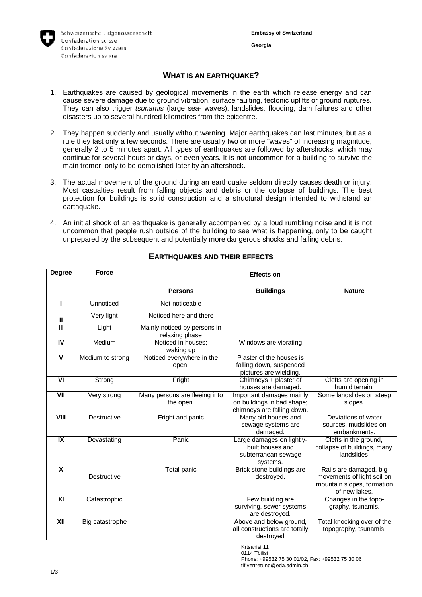

## **WHAT IS AN EARTHQUAKE?**

- 1. Earthquakes are caused by geological movements in the earth which release energy and can cause severe damage due to ground vibration, surface faulting, tectonic uplifts or ground ruptures. They can also trigger *tsunamis* (large sea- waves), landslides, flooding, dam failures and other disasters up to several hundred kilometres from the epicentre.
- 2. They happen suddenly and usually without warning. Major earthquakes can last minutes, but as a rule they last only a few seconds. There are usually two or more "waves" of increasing magnitude, generally 2 to 5 minutes apart. All types of earthquakes are followed by aftershocks, which may continue for several hours or days, or even years. It is not uncommon for a building to survive the main tremor, only to be demolished later by an aftershock.
- 3. The actual movement of the ground during an earthquake seldom directly causes death or injury. Most casualties result from falling objects and debris or the collapse of buildings. The best protection for buildings is solid construction and a structural design intended to withstand an earthquake.
- 4. An initial shock of an earthquake is generally accompanied by a loud rumbling noise and it is not uncommon that people rush outside of the building to see what is happening, only to be caught unprepared by the subsequent and potentially more dangerous shocks and falling debris.

| <b>Degree</b>           | <b>Force</b>     | <b>Effects on</b>                              |                                                                                      |                                                                                                     |
|-------------------------|------------------|------------------------------------------------|--------------------------------------------------------------------------------------|-----------------------------------------------------------------------------------------------------|
|                         |                  | <b>Persons</b>                                 | <b>Buildings</b>                                                                     | <b>Nature</b>                                                                                       |
| п                       | Unnoticed        | Not noticeable                                 |                                                                                      |                                                                                                     |
| Ш                       | Very light       | Noticed here and there                         |                                                                                      |                                                                                                     |
| Ш                       | Light            | Mainly noticed by persons in<br>relaxing phase |                                                                                      |                                                                                                     |
| IV                      | Medium           | Noticed in houses:<br>waking up                | Windows are vibrating                                                                |                                                                                                     |
| $\overline{\mathsf{v}}$ | Medium to strong | Noticed everywhere in the<br>open.             | Plaster of the houses is<br>falling down, suspended<br>pictures are wielding.        |                                                                                                     |
| V <sub>l</sub>          | Strong           | Fright                                         | Chimneys + plaster of<br>houses are damaged.                                         | Clefts are opening in<br>humid terrain.                                                             |
| $\overline{\mathsf{V}}$ | Very strong      | Many persons are fleeing into<br>the open.     | Important damages mainly<br>on buildings in bad shape;<br>chimneys are falling down. | Some landslides on steep<br>slopes.                                                                 |
| VIII                    | Destructive      | Fright and panic                               | Many old houses and<br>sewage systems are<br>damaged.                                | Deviations of water<br>sources, mudslides on<br>embankments.                                        |
| $\overline{\mathbf{X}}$ | Devastating      | Panic                                          | Large damages on lightly-<br>built houses and<br>subterranean sewage<br>systems.     | Clefts in the ground,<br>collapse of buildings, many<br>landslides                                  |
| X                       | Destructive      | Total panic                                    | Brick stone buildings are<br>destroyed.                                              | Rails are damaged, big<br>movements of light soil on<br>mountain slopes, formation<br>of new lakes. |
| XI                      | Catastrophic     |                                                | Few building are<br>surviving, sewer systems<br>are destroyed.                       | Changes in the topo-<br>graphy, tsunamis.                                                           |
| $\overline{X}$          | Big catastrophe  |                                                | Above and below ground,<br>all constructions are totally<br>destroyed                | Total knocking over of the<br>topography, tsunamis.                                                 |

# **EARTHQUAKES AND THEIR EFFECTS**

Krtsanisi 11 0114 Tbilisi Phone: +99532 75 30 01/02, Fax: +99532 75 30 06

[tif.vertretung@eda.admin.ch](mailto:tif.vertretung@eda.admin.ch),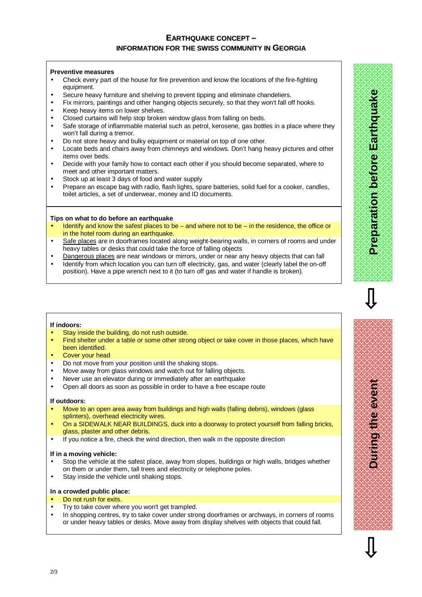## **EARTHQUAKE CONCEPT – INFORMATION FOR THE SWISS COMMUNITY IN GEORGIA**

### **Preventive measures**

- Check every part of the house for fire prevention and know the locations of the fire-fighting equipment.
- Secure heavy furniture and shelving to prevent tipping and eliminate chandeliers.
- Fix mirrors, paintings and other hanging objects securely, so that they won't fall off hooks.
- Keep heavy items on lower shelves.
- Closed curtains will help stop broken window glass from falling on beds.
- Safe storage of inflammable material such as petrol, kerosene, gas bottles in a place where they won't fall during a tremor.
- Do not store heavy and bulky equipment or material on top of one other.
- Locate beds and chairs away from chimneys and windows. Don't hang heavy pictures and other items over beds.
- Decide with your family how to contact each other if you should become separated, where to meet and other important matters.
- Stock up at least 3 days of food and water supply
- Prepare an escape bag with radio, flash lights, spare batteries, solid fuel for a cooker, candles, toilet articles, a set of underwear, money and ID documents.

### **Tips on what to do before an earthquake**

- Identify and know the safest places to be and where not to be in the residence, the office or in the hotel room during an earthquake.
- Safe places are in doorframes located along weight-bearing walls, in corners of rooms and under heavy tables or desks that could take the force of falling objects
- Dangerous places are near windows or mirrors, under or near any heavy objects that can fall
- Identify from which location you can turn off electricity, gas, and water (clearly label the on-off position). Have a pipe wrench next to it (to turn off gas and water if handle is broken).

#### **If indoors:**

- Stay inside the building, do not rush outside.
- Find shelter under a table or some other strong object or take cover in those places, which have been identified.
- Cover your head
- Do not move from your position until the shaking stops.
- Move away from glass windows and watch out for falling objects.
- Never use an elevator during or immediately after an earthquake
- Open all doors as soon as possible in order to have a free escape route

#### **If outdoors:**

- Move to an open area away from buildings and high walls (falling debris), windows (glass splinters), overhead electricity wires.
- On a SIDEWALK NEAR BUILDINGS, duck into a doorway to protect yourself from falling bricks, glass, plaster and other debris.
- If you notice a fire, check the wind direction, then walk in the opposite direction

#### **If in a moving vehicle:**

- Stop the vehicle at the safest place, away from slopes, buildings or high walls, bridges whether on them or under them, tall trees and electricity or telephone poles.
- Stay inside the vehicle until shaking stops.

#### **In a crowded public place:**

- Do not rush for exits.
- Try to take cover where you won't get trampled.
- In shopping centres, try to take cover under strong doorframes or archways, in corners of rooms or under heavy tables or desks. Move away from display shelves with objects that could fall.

**Durin gtheevent**